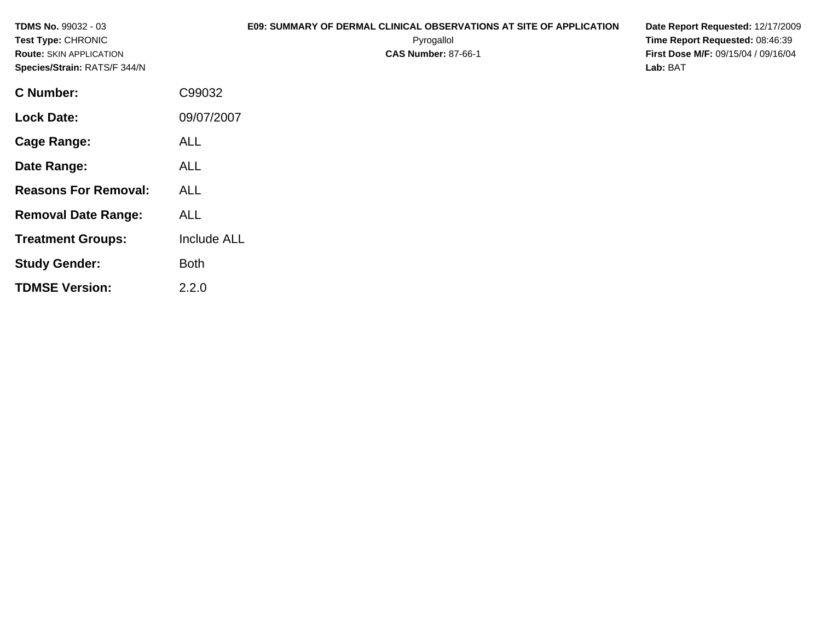| <b>TDMS No. 99032 - 03</b><br>Test Type: CHRONIC<br><b>Route: SKIN APPLICATION</b><br>Species/Strain: RATS/F 344/N |             | E09: SUMMARY OF DERMAL CLINICAL OBSERVATIONS AT SITE OF APPLICATION<br>Pyrogallol<br><b>CAS Number: 87-66-1</b> | Date Report Requested: 12/17/2009<br>Time Report Requested: 08:46:39<br>First Dose M/F: 09/15/04 / 09/16/04<br>Lab: BAT |
|--------------------------------------------------------------------------------------------------------------------|-------------|-----------------------------------------------------------------------------------------------------------------|-------------------------------------------------------------------------------------------------------------------------|
| <b>C</b> Number:                                                                                                   | C99032      |                                                                                                                 |                                                                                                                         |
| <b>Lock Date:</b>                                                                                                  | 09/07/2007  |                                                                                                                 |                                                                                                                         |
| <b>Cage Range:</b>                                                                                                 | ALL         |                                                                                                                 |                                                                                                                         |
| Date Range:                                                                                                        | <b>ALL</b>  |                                                                                                                 |                                                                                                                         |
| <b>Reasons For Removal:</b>                                                                                        | <b>ALL</b>  |                                                                                                                 |                                                                                                                         |
| <b>Removal Date Range:</b>                                                                                         | <b>ALL</b>  |                                                                                                                 |                                                                                                                         |
| <b>Treatment Groups:</b>                                                                                           | Include ALL |                                                                                                                 |                                                                                                                         |
| <b>Study Gender:</b>                                                                                               | <b>Both</b> |                                                                                                                 |                                                                                                                         |
| <b>TDMSE Version:</b>                                                                                              | 2.2.0       |                                                                                                                 |                                                                                                                         |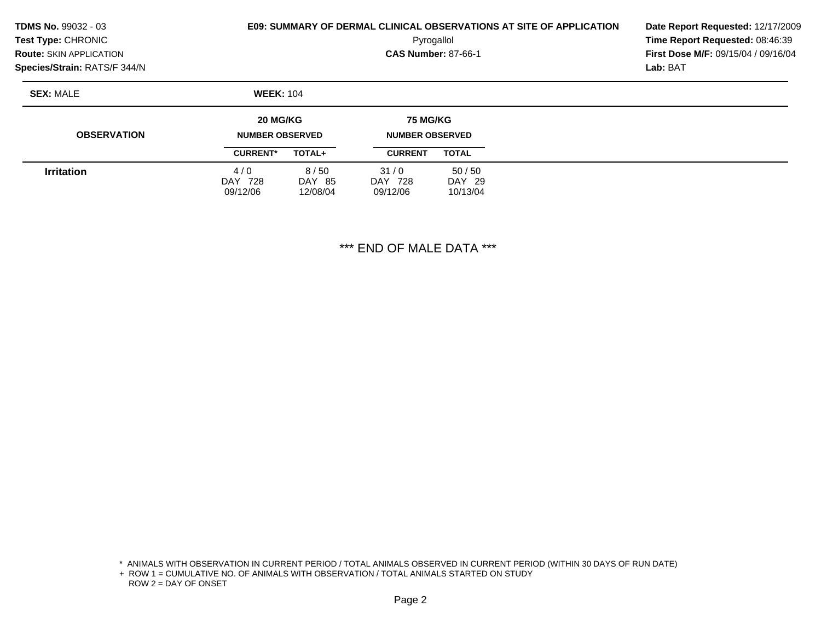| <b>TDMS No. 99032 - 03</b><br>Test Type: CHRONIC<br><b>Route: SKIN APPLICATION</b><br>Species/Strain: RATS/F 344/N | <b>E09: SUMMARY OF DERMAL CLINICAL OBSERVATIONS AT SITE OF APPLICATION</b> | Date Report Requested: 12/17/2009<br>Time Report Requested: 08:46:39<br>First Dose M/F: 09/15/04 / 09/16/04<br>Lab: BAT |                                           |                 |  |  |
|--------------------------------------------------------------------------------------------------------------------|----------------------------------------------------------------------------|-------------------------------------------------------------------------------------------------------------------------|-------------------------------------------|-----------------|--|--|
| <b>SEX: MALE</b>                                                                                                   | <b>WEEK: 104</b>                                                           |                                                                                                                         |                                           |                 |  |  |
| <b>OBSERVATION</b>                                                                                                 | 20 MG/KG<br><b>NUMBER OBSERVED</b>                                         |                                                                                                                         | <b>75 MG/KG</b><br><b>NUMBER OBSERVED</b> |                 |  |  |
|                                                                                                                    | <b>CURRENT*</b>                                                            | TOTAL+                                                                                                                  | <b>CURRENT</b>                            | <b>TOTAL</b>    |  |  |
| <b>Irritation</b>                                                                                                  | 4/0<br>DAY 728                                                             | 8/50<br>DAY 85                                                                                                          | 31/0<br>DAY 728                           | 50/50<br>DAY 29 |  |  |

DAY 728 09/12/06

\*\*\* END OF MALE DATA \*\*\*

DAY 29 10/13/04

\* ANIMALS WITH OBSERVATION IN CURRENT PERIOD / TOTAL ANIMALS OBSERVED IN CURRENT PERIOD (WITHIN 30 DAYS OF RUN DATE)

+ ROW 1 = CUMULATIVE NO. OF ANIMALS WITH OBSERVATION / TOTAL ANIMALS STARTED ON STUDY ROW 2 = DAY OF ONSET

09/12/06

12/08/04